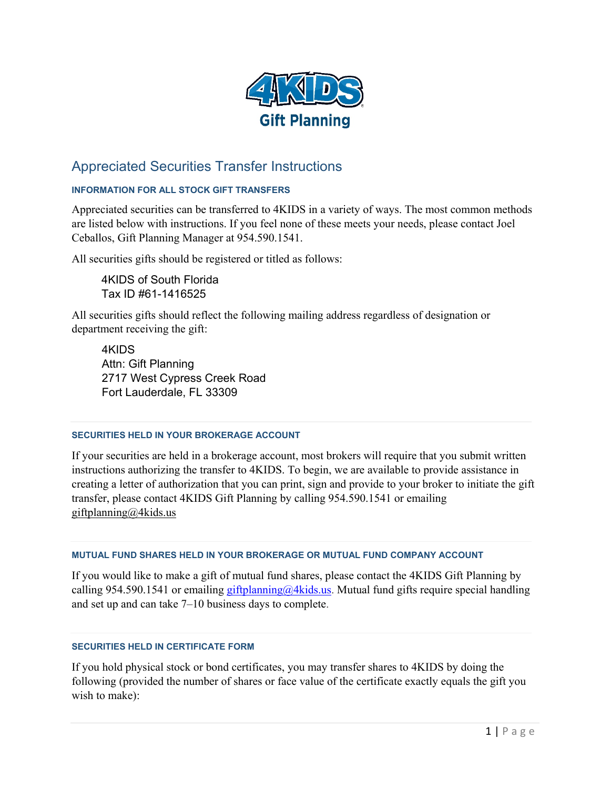

# Appreciated Securities Transfer Instructions

## **INFORMATION FOR ALL STOCK GIFT TRANSFERS**

Appreciated securities can be transferred to 4KIDS in a variety of ways. The most common methods are listed below with instructions. If you feel none of these meets your needs, please contact Joel Ceballos, Gift Planning Manager at 954.590.1541.

All securities gifts should be registered or titled as follows:

4KIDS of South Florida Tax ID #61-1416525

All securities gifts should reflect the following mailing address regardless of designation or department receiving the gift:

4KIDS Attn: Gift Planning 2717 West Cypress Creek Road Fort Lauderdale, FL 33309

#### **SECURITIES HELD IN YOUR BROKERAGE ACCOUNT**

If your securities are held in a brokerage account, most brokers will require that you submit written instructions authorizing the transfer to 4KIDS. To begin, we are available to provide assistance in creating a letter of authorization that you can print, sign and provide to your broker to initiate the gift transfer, please contact 4KIDS Gift Planning by calling 954.590.1541 or emailing [giftplanning@4kids.us](mailto:giftplanning@4kids.us)

### **MUTUAL FUND SHARES HELD IN YOUR BROKERAGE OR MUTUAL FUND COMPANY ACCOUNT**

If you would like to make a gift of mutual fund shares, please contact the 4KIDS Gift Planning by calling 954.590.1541 or emailing  $g$ iftplanning  $a/4$ kids.us</u>. Mutual fund gifts require special handling and set up and can take 7–10 business days to complete.

### **SECURITIES HELD IN CERTIFICATE FORM**

If you hold physical stock or bond certificates, you may transfer shares to 4KIDS by doing the following (provided the number of shares or face value of the certificate exactly equals the gift you wish to make):